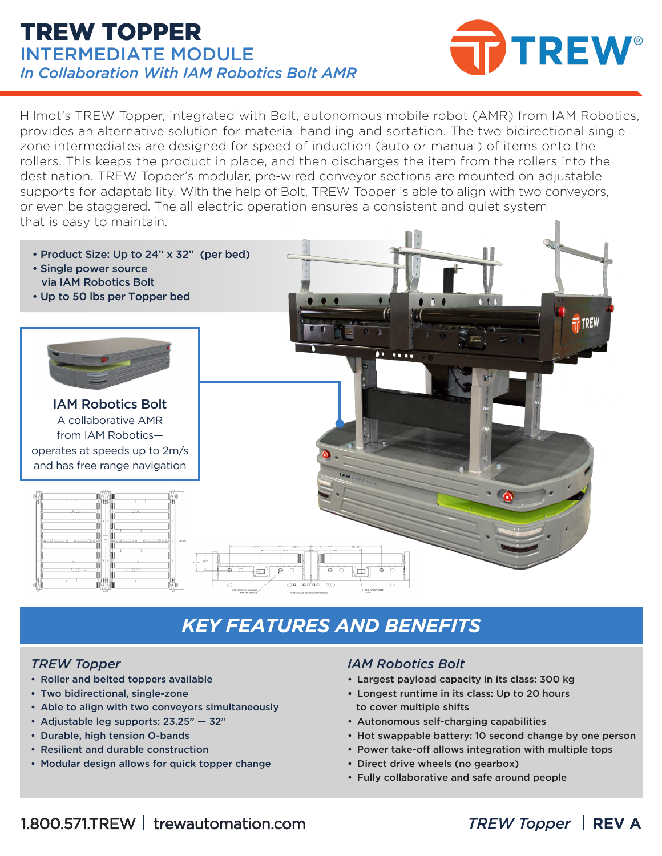### TREW TOPPER INTERMEDIATE MODULE *In Collaboration With IAM Robotics Bolt AMR*



Hilmot's TREW Topper, integrated with Bolt, autonomous mobile robot (AMR) from IAM Robotics, provides an alternative solution for material handling and sortation. The two bidirectional single zone intermediates are designed for speed of induction (auto or manual) of items onto the rollers. This keeps the product in place, and then discharges the item from the rollers into the destination. TREW Topper's modular, pre-wired conveyor sections are mounted on adjustable supports for adaptability. With the help of Bolt, TREW Topper is able to align with two conveyors, or even be staggered. The all electric operation ensures a consistent and quiet system that is easy to maintain.



## *KEY FEATURES AND BENEFITS*

#### *TREW Topper*

- Roller and belted toppers available
- Two bidirectional, single-zone
- Able to align with two conveyors simultaneously
- Adjustable leg supports: 23.25" 32"
- Durable, high tension O-bands
- Resilient and durable construction
- Modular design allows for quick topper change

#### *IAM Robotics Bolt*

- Largest payload capacity in its class: 300 kg
- Longest runtime in its class: Up to 20 hours to cover multiple shifts
- Autonomous self-charging capabilities
- Hot swappable battery: 10 second change by one person
- Power take-off allows integration with multiple tops
- Direct drive wheels (no gearbox)
- Fully collaborative and safe around people
- 1.800.571.TREW trewautomation.com *TREW Topper* **REV A**